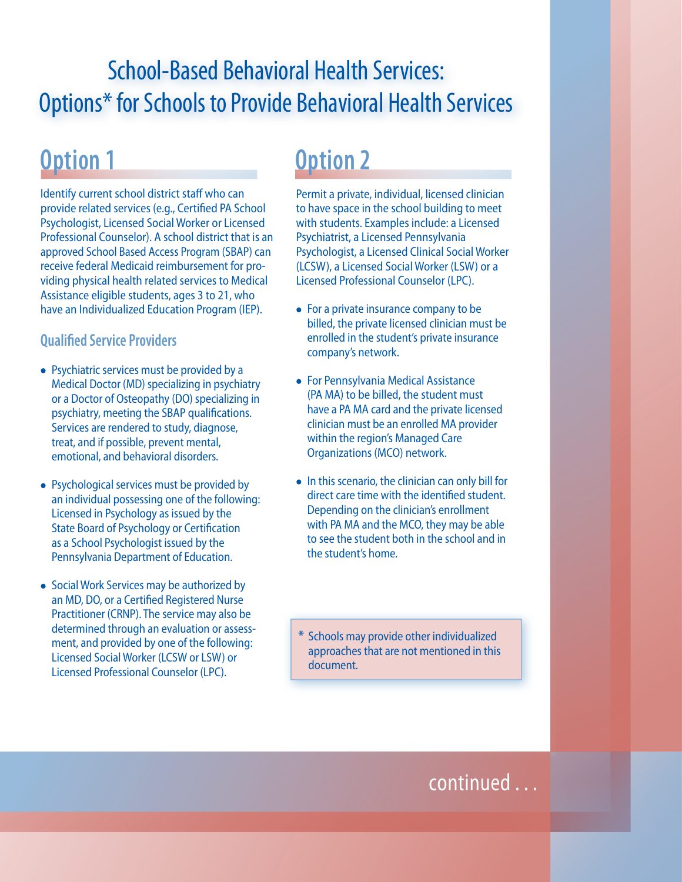# School-Based Behavioral Health Services: Options\* for Schools to Provide Behavioral Health Services

## **Option 1**

Identify current school district staff who can provide related services (e.g., Certified PA School Psychologist, Licensed Social Worker or Licensed Professional Counselor). A school district that is an approved School Based Access Program (SBAP) can receive federal Medicaid reimbursement for providing physical health related services to Medical Assistance eligible students, ages 3 to 21, who have an Individualized Education Program (IEP).

#### **Qualified Service Providers**

- Psychiatric services must be provided by a Medical Doctor (MD) specializing in psychiatry or a Doctor of Osteopathy (DO) specializing in psychiatry, meeting the SBAP qualifications. Services are rendered to study, diagnose, treat, and if possible, prevent mental, emotional, and behavioral disorders.
- Psychological services must be provided by an individual possessing one of the following: Licensed in Psychology as issued by the State Board of Psychology or Certification as a School Psychologist issued by the Pennsylvania Department of Education.
- Social Work Services may be authorized by an MD, DO, or a Certified Registered Nurse Practitioner (CRNP). The service may also be determined through an evaluation or assessment, and provided by one of the following: Licensed Social Worker (LCSW or LSW) or Licensed Professional Counselor (LPC).

# **Option 2**

Permit a private, individual, licensed clinician to have space in the school building to meet with students. Examples include: a Licensed Psychiatrist, a Licensed Pennsylvania Psychologist, a Licensed Clinical Social Worker (LCSW), a Licensed Social Worker (LSW) or a Licensed Professional Counselor (LPC).

- For a private insurance company to be billed, the private licensed clinician must be enrolled in the student's private insurance company's network.
- For Pennsylvania Medical Assistance (PA MA) to be billed, the student must have a PA MA card and the private licensed clinician must be an enrolled MA provider within the region's Managed Care Organizations (MCO) network.
- In this scenario, the clinician can only bill for direct care time with the identified student. Depending on the clinician's enrollment with PA MA and the MCO, they may be able to see the student both in the school and in the student's home.

**\*** Schools may provide other individualized approaches that are not mentioned in this document.

### continued . . .